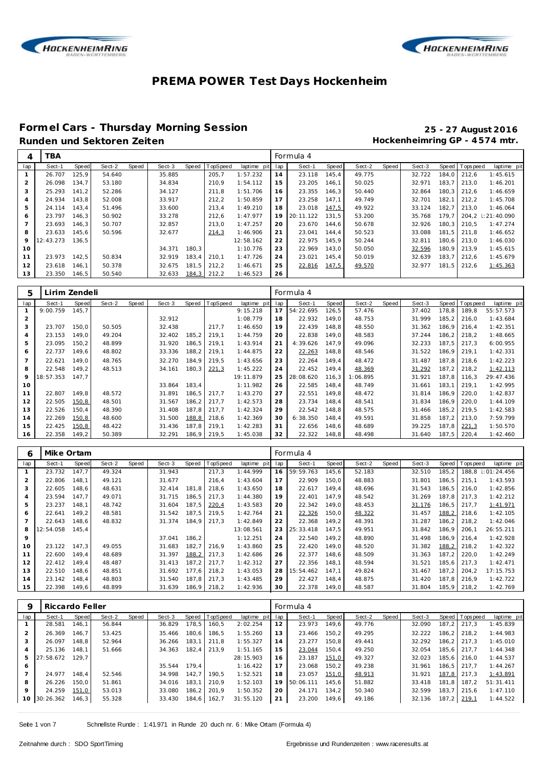



#### **Formel Cars - Thursday Morning Session 25 - 27 August 2016** Runden und Sektoren Zeiten **Munden und Sektoren Zeiten Hockenheimring GP** - 4574 mtr.

| 4   | <b>TBA</b> |              |        |       |        |       |          |                 |     | Formula 4 |       |        |       |        |       |                  |                   |
|-----|------------|--------------|--------|-------|--------|-------|----------|-----------------|-----|-----------|-------|--------|-------|--------|-------|------------------|-------------------|
| lap | Sect-1     | <b>Speed</b> | Sect-2 | Speed | Sect-3 | Speed | TopSpeed | laptime<br>pitl | lap | Sect-1    | Speed | Sect-2 | Speed | Sect-3 |       | Speed   Topspeed | laptime pit       |
|     | 26.707     | 125.9        | 54.640 |       | 35.885 |       | 205,7    | 1:57.232        | 14  | 23.118    | 145,4 | 49.775 |       | 32.722 | 184.0 | 212.6            | 1:45.615          |
|     | 26.098     | 134.7        | 53.180 |       | 34.834 |       | 210.9    | 1:54.112        | 15  | 23.205    | 146.1 | 50.025 |       | 32.971 | 183.7 | 213.0            | 1:46.201          |
|     | 25.293     | 141.2        | 52.286 |       | 34.127 |       | 211.8    | 1:51.706        | 16  | 23.355    | 146.3 | 50.440 |       | 32.864 | 180.3 | 212.6            | 1:46.659          |
|     | 24.934     | 143.8        | 52.008 |       | 33.917 |       | 212,2    | 1:50.859        | 17  | 23.258    | 147.1 | 49.749 |       | 32.701 | 182.1 | 212.2            | 1:45.708          |
| 5   | 24.114     | 143.4        | 51.496 |       | 33.600 |       | 213,4    | 1:49.210        | 18  | 23.018    | 147,5 | 49.922 |       | 33.124 | 182.7 | 213.0            | 1:46.064          |
| 6   | 23.797     | 146.3        | 50.902 |       | 33.278 |       | 212,6    | 1:47.977        | 19  | 20:11.122 | 131.5 | 53.200 |       | 35.768 | 179.7 |                  | 204.2 : 21:40.090 |
|     | 23.693     | 146,3        | 50.707 |       | 32.857 |       | 213,0    | 1:47.257        | 20  | 23.670    | 144.6 | 50.678 |       | 32.926 | 180.3 | 210.5            | 1:47.274          |
| 8   | 23.633     | 145.6        | 50.596 |       | 32.677 |       | 214,3    | 1:46.906        | 21  | 23.041    | 144.4 | 50.523 |       | 33.088 | 181.5 | 211.8            | 1:46.652          |
| 9   | 12:43.273  | 136,5        |        |       |        |       |          | 12:58.162       | 22  | 22.975    | 145.9 | 50.244 |       | 32.811 | 180.6 | 213.0            | 1:46.030          |
| 10  |            |              |        |       | 34.371 | 180.3 |          | 1:10.776        | 23  | 22.969    | 143.0 | 50.050 |       | 32.596 | 180.9 | 213.9            | 1:45.615          |
| 11  | 23.973     | 142,5        | 50.834 |       | 32.919 | 183,4 | 210,1    | 1:47.726        | 24  | 23.021    | 145,4 | 50.019 |       | 32.639 | 183,7 | 212.6            | 1:45.679          |
| 12  | 23.618     | 146.1        | 50.378 |       | 32.675 | 181.5 | 212.2    | 1:46.671        | 25  | 22.816    | 147,5 | 49.570 |       | 32.977 | 181.5 | 212.6            | 1:45.363          |
| 13  | 23.350     | 146,5        | 50.540 |       | 32.633 | 184,3 | 212,2    | 1:46.523        | 26  |           |       |        |       |        |       |                  |                   |

| 5              | Lirim Zendeli |        |        |       |        |       |          |             |     | Formula 4 |       |          |       |        |       |          |             |
|----------------|---------------|--------|--------|-------|--------|-------|----------|-------------|-----|-----------|-------|----------|-------|--------|-------|----------|-------------|
| lap            | Sect-1        | Speed  | Sect-2 | Speed | Sect-3 | Speed | TopSpeed | laptime pit | lap | Sect-1    | Speed | Sect-2   | Speed | Sect-3 | Speed | Topspeed | laptime pit |
|                | 9:00.759      | 145.7  |        |       |        |       |          | 9:15.218    | 17  | 54:22.695 | 126,5 | 57.476   |       | 37.402 | 178,8 | 189.8    | 55:57.573   |
| $\overline{2}$ |               |        |        |       | 32.912 |       |          | 1:08.779    | 18  | 22.932    | 149,0 | 48.753   |       | 31.999 | 185,2 | 216.0    | 1:43.684    |
| 3              | 23.707        | 150.0  | 50.505 |       | 32.438 |       | 217.7    | 1:46.650    | 19  | 22.439    | 148.8 | 48.550   |       | 31.362 | 186.9 | 216.4    | 1:42.351    |
| $\overline{4}$ | 23.153        | 149,0  | 49.204 |       | 32.402 | 185,2 | 219,1    | 1:44.759    | 20  | 22.838    | 149,0 | 48.583   |       | 37.244 | 186,2 | 218,2    | 1:48.665    |
| 5              | 23.095        | 150, 2 | 48.899 |       | 31.920 | 186,5 | 219,1    | 1:43.914    | 21  | 4:39.626  | 147,9 | 49.096   |       | 32.233 | 187,5 | 217,3    | 6:00.955    |
| 6              | 22.737        | 149.6  | 48.802 |       | 33.336 | 188,2 | 219,1    | 1:44.875    | 22  | 22.263    | 148,8 | 48.546   |       | 31.522 | 186,9 | 219,1    | 1:42.331    |
| $\overline{7}$ | 22.621        | 149.0  | 48.765 |       | 32.270 | 184.9 | 219,5    | 1:43.656    | 23  | 22.264    | 149.4 | 48.472   |       | 31.487 | 187.8 | 218.6    | 1:42.223    |
| 8              | 22.548        | 149.2  | 48.513 |       | 34.161 | 180,3 | 221,3    | 1:45.222    | 24  | 22.452    | 149,4 | 48.369   |       | 31.292 | 187,2 | 218,2    | 1:42.113    |
| 9              | 18:57.353     | 147.7  |        |       |        |       |          | 19:11.879   | 25  | 28:08.620 | 116.3 | 1:06.895 |       | 31.921 | 187.8 | 116.3    | 29:47.436   |
| 10             |               |        |        |       | 33.864 | 183,4 |          | 1:11.982    | 26  | 22.585    | 148,4 | 48.749   |       | 31.661 | 183.1 | 219.1    | 1:42.995    |
| 11             | 22.807        | 149.8  | 48.572 |       | 31.891 | 186.5 | 217.7    | 1:43.270    | 27  | 22.551    | 149.8 | 48.472   |       | 31.814 | 186.9 | 220,0    | 1:42.837    |
| 12             | 22.505        | 150,8  | 48.501 |       | 31.567 | 186,2 | 217,7    | 1:42.573    | 28  | 23.734    | 148,4 | 48.541   |       | 31.834 | 186.9 | 220,0    | 1:44.109    |
| 13             | 22.526        | 150.4  | 48.390 |       | 31.408 | 187.8 | 217.7    | 1:42.324    | 29  | 22.542    | 148,8 | 48.575   |       | 31.466 | 185.2 | 219.5    | 1:42.583    |
| 14             | 22.269        | 150,8  | 48.600 |       | 31.500 | 188,8 | 218,6    | 1:42.369    | 30  | 6:38.350  | 148.4 | 49.591   |       | 31.858 | 187.2 | 213.0    | 7:59.799    |
| 15             | 22.425        | 150,8  | 48.422 |       | 31.436 | 187,8 | 219,1    | 1:42.283    | 31  | 22.656    | 148,6 | 48.689   |       | 39.225 | 187.8 | 221,3    | 1:50.570    |
| 16             | 22.358        | 149.2  | 50.389 |       | 32.291 | 186.9 | 219,5    | 1:45.038    | 32  | 22.322    | 148.8 | 48.498   |       | 31.640 | 187.5 | 220,4    | 1:42.460    |

| 6              | Mike Ortam |              |        |       |        |       |          |             |     | Formula 4 |       |        |       |        |        |             |             |
|----------------|------------|--------------|--------|-------|--------|-------|----------|-------------|-----|-----------|-------|--------|-------|--------|--------|-------------|-------------|
| lap            | Sect-1     | <b>Speed</b> | Sect-2 | Speed | Sect-3 | Speed | TopSpeed | laptime pit | lap | Sect-1    | Speed | Sect-2 | Speed | Sect-3 | Speed  | Topspeed    | laptime pit |
|                | 23.732     | 147.7        | 49.324 |       | 31.943 |       | 217,3    | 1:44.999    | 16  | 59:59.763 | 145.6 | 52.183 |       | 32.510 | 185.2  | 188.8       | 1:01:24.456 |
|                | 22.806     | 148.1        | 49.121 |       | 31.677 |       | 216,4    | 1:43.604    | 17  | 22.909    | 150,0 | 48.883 |       | 31.801 | 186,5  | 215.1       | 1:43.593    |
| 3              | 22.605     | 148.6        | 48.631 |       | 32.414 | 181.8 | 218.6    | 1:43.650    | 18  | 22.617    | 149.4 | 48.696 |       | 31.543 | 186.5  | 216.0       | 1:42.856    |
| $\overline{A}$ | 23.594     | 147.7        | 49.071 |       | 31.715 | 186,5 | 217,3    | 1:44.380    | 19  | 22.401    | 147,9 | 48.542 |       | 31.269 | 187.8  | 217,3       | 1:42.212    |
| 5              | 23.237     | 148.1        | 48.742 |       | 31.604 | 187.5 | 220.4    | 1:43.583    | 20  | 22.342    | 149.0 | 48.453 |       | 31.176 | 186.5  | 217,7       | 1:41.971    |
| 6              | 22.641     | 149,2        | 48.581 |       | 31.542 | 187,5 | 219,5    | 1:42.764    | 21  | 22.326    | 150,0 | 48.322 |       | 31.457 | 188,2  | 218.6       | 1:42.105    |
|                | 22.643     | 148,6        | 48.832 |       | 31.374 | 184,9 | 217,3    | 1:42.849    | 22  | 22.368    | 149,2 | 48.391 |       | 31.287 | 186, 2 | 218,2       | 1:42.046    |
| 8              | 12:54.058  | 145.4        |        |       |        |       |          | 13:08.561   | 23  | 25:33.418 | 147,5 | 49.951 |       | 31.842 | 186,9  | 206,1       | 26:55.211   |
| 9              |            |              |        |       | 37.041 | 186,2 |          | 1:12.251    | 24  | 22.540    | 149.2 | 48.890 |       | 31.498 | 186.9  | 216.4       | 1:42.928    |
| 10             | 23.122     | 147,3        | 49.055 |       | 31.683 | 182,7 | 216,9    | 1:43.860    | 25  | 22.420    | 149,0 | 48.520 |       | 31.382 | 188,2  | 218,2       | 1:42.322    |
| 11             | 22.600     | 149.4        | 48.689 |       | 31.397 | 188,2 | 217.3    | 1:42.686    | 26  | 22.377    | 148,6 | 48.509 |       | 31.363 | 187.2  | 220.0       | 1:42.249    |
| 12             | 22.412     | 149.4        | 48.487 |       | 31.413 | 187,2 | 217.7    | 1:42.312    | 27  | 22.356    | 148.1 | 48.594 |       | 31.521 | 185.6  | 217.3       | 1:42.471    |
| 13             | 22.510     | 148.6        | 48.851 |       | 31.692 | 177.6 | 218.2    | 1:43.053    | 28  | 15:54.462 | 147.1 | 49.824 |       | 31.467 | 187.2  | 204.2       | 17:15.753   |
| 14             | 23.142     | 148.4        | 48.803 |       | 31.540 | 187,8 | 217,3    | 1:43.485    | 29  | 22.427    | 148,4 | 48.875 |       | 31.420 | 187.8  | 216.9       | 1:42.722    |
| 15             | 22.398     | 149,6        | 48.899 |       | 31.639 | 186,9 | 218,2    | 1:42.936    | 30  | 22.378    | 149,0 | 48.587 |       | 31.804 |        | 185,9 218,2 | 1:42.769    |

| 9       | Riccardo Feller |       |        |       |        |       |          |             |     | Formula 4 |       |        |       |        |       |                  |             |
|---------|-----------------|-------|--------|-------|--------|-------|----------|-------------|-----|-----------|-------|--------|-------|--------|-------|------------------|-------------|
| lap     | Sect-1          | Speed | Sect-2 | Speed | Sect-3 | Speed | TopSpeed | laptime pit | lap | Sect-1    | Speed | Sect-2 | Speed | Sect-3 |       | Speed   Topspeed | laptime pit |
|         | 28.581          | 146.1 | 56.844 |       | 36.829 | 178,5 | 160,5    | 2:02.254    | 12  | 23.973    | 149.6 | 49.776 |       | 32.090 | 187.2 | 217.3            | 1:45.839    |
|         | 26.369          | 146.7 | 53.425 |       | 35.466 | 180.6 | 186,5    | 1:55.260    | 13  | 23.466    | 150.2 | 49.295 |       | 32.222 | 186.2 | 218.2            | 1:44.983    |
|         | 26.097          | 148.8 | 52.964 |       | 36.266 | 183.1 | 211.8    | 1:55.327    | 14  | 23.277    | 150.8 | 49.441 |       | 32.292 | 186.2 | 217.3            | 1:45.010    |
|         | 25.136          | 148.1 | 51.666 |       | 34.363 | 182.4 | 213.9    | 1:51.165    | 15  | 23.044    | 150.4 | 49.250 |       | 32.054 | 185.6 | 217.7            | 1:44.348    |
| 5       | 27:58.672       | 129.7 |        |       |        |       |          | 28:15.903   | 16  | 23.187    | 151,0 | 49.327 |       | 32.023 | 185.6 | 216.0            | 1:44.537    |
| 6       |                 |       |        |       | 35.544 | 179.4 |          | 1:16.422    | 17  | 23.068    | 150.2 | 49.238 |       | 31.961 | 186.5 | 217.7            | 1:44.267    |
|         | 24.977          | 148.4 | 52.546 |       | 34.998 | 142.7 | 190.5    | 1:52.521    | 18  | 23.057    | 151,0 | 48.913 |       | 31.921 | 187.8 | 217.3            | 1:43.891    |
| 8       | 26.226          | 150.0 | 51.861 |       | 34.016 | 183.1 | 210.9    | 1:52.103    | 19  | 50:06.111 | 145.6 | 51.882 |       | 33.418 | 181.8 | 187.2            | 51:31.411   |
| $\circ$ | 24.259          | 151,0 | 53.013 |       | 33.080 | 186.2 | 201.9    | 1:50.352    | 20  | 24.171    | 134.2 | 50.340 |       | 32.599 | 183.7 | 215.6            | 1:47.110    |
| 10      | 30:26.362       | 146,3 | 55.328 |       | 33.430 | 184,6 | 162,7    | 31:55.120   | 21  | 23.200    | 149,6 | 49.186 |       | 32.136 | 187,2 | 219.1            | 1:44.522    |
|         |                 |       |        |       |        |       |          |             |     |           |       |        |       |        |       |                  |             |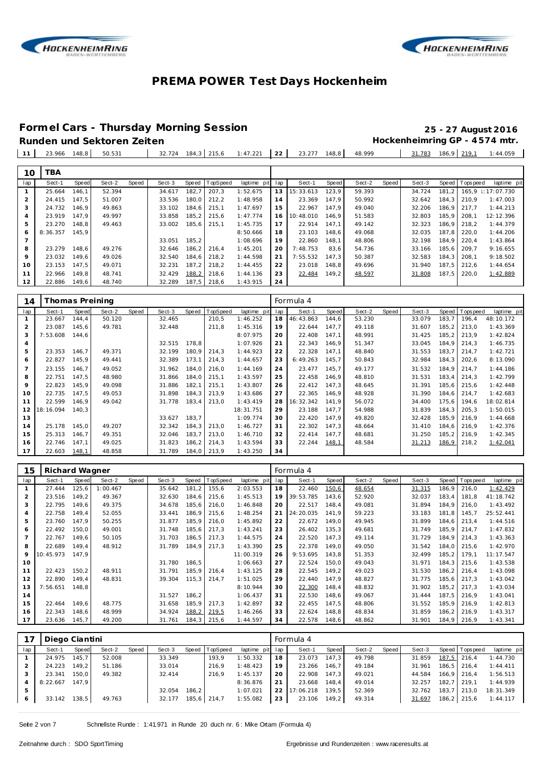



#### **Formel Cars - Thursday Morning Session 25 - 27 August 2016**

# Runden und Sektoren Zeiten **Munden und Sektoren Zeiten Hockenheimring GP** - 4574 mtr.

23.966 148,8 50.531 32.724 184,3 215,6 1:47.221 **22** 23.277 148,8 48.999 31.783 186,9 219,1 1:44.059

| 10             | TBA      |       |        |       |        |       |          |             |     |           |       |        |       |        |       |                |                   |
|----------------|----------|-------|--------|-------|--------|-------|----------|-------------|-----|-----------|-------|--------|-------|--------|-------|----------------|-------------------|
| lap            | Sect-1   | Speed | Sect-2 | Speed | Sect-3 | Speed | TopSpeed | laptime pit | lap | Sect-1    | Speed | Sect-2 | Speed | Sect-3 |       | Speed Topspeed | laptime pit       |
|                | 25.664   | 146.1 | 52.394 |       | 34.617 | 182.7 | 207.3    | 1:52.675    | 13  | 15:33.613 | 123.9 | 59.393 |       | 34.724 | 181.2 |                | 165.9 : 17:07.730 |
| 2              | 24.415   | 147.5 | 51.007 |       | 33.536 | 180.0 | 212.2    | 1:48.958    | 14  | 23.369    | 147.9 | 50.992 |       | 32.642 | 184.3 | 210.9          | 1:47.003          |
| 3              | 24.732   | 146.9 | 49.863 |       | 33.102 | 184.6 | 215.1    | 1:47.697    | 15  | 22.967    | 147.9 | 49.040 |       | 32.206 | 186.9 | 217.7          | 1:44.213          |
| $\overline{4}$ | 23.919   | 147.9 | 49.997 |       | 33.858 | 185.2 | 215.6    | 1:47.774    | 16  | 10:48.010 | 146.9 | 51.583 |       | 32.803 | 185.9 | 208.1          | 12:12.396         |
| 5              | 23.270   | 148.8 | 49.463 |       | 33.002 | 185,6 | 215.1    | 1:45.735    | 17  | 22.914    | 147.1 | 49.142 |       | 32.323 |       | 186.9 218.2    | 1:44.379          |
| 6              | 8:36.357 | 145.9 |        |       |        |       |          | 8:50.666    | 18  | 23.103    | 148.6 | 49.068 |       | 32.035 | 187.8 | 220.0          | 1:44.206          |
|                |          |       |        |       | 33.051 | 185.2 |          | 1:08.696    | 19  | 22.860    | 148.1 | 48.806 |       | 32.198 | 184.9 | 220.4          | 1:43.864          |
| 8              | 23.279   | 148.6 | 49.276 |       | 32.646 | 186.2 | 216.4    | 1:45.201    | 20  | 7:48.753  | 83,6  | 54.736 |       | 33.166 | 185.6 | 209.7          | 9:16.655          |
| $\circ$        | 23.032   | 149.6 | 49.026 |       | 32.540 | 184.6 | 218.2    | 1:44.598    | 21  | 7:55.532  | 147.3 | 50.387 |       | 32.583 | 184.3 | 208.1          | 9:18.502          |
| 10             | 23.153   | 147.5 | 49.071 |       | 32.231 | 187.2 | 218.2    | 1:44.455    | 22  | 23.018    | 148,8 | 49.696 |       | 31.940 | 187.5 | 212.6          | 1:44.654          |
| 11             | 22.966   | 149.8 | 48.741 |       | 32.429 | 188,2 | 218.6    | 1:44.136    | 23  | 22.484    | 149,2 | 48.597 |       | 31.808 | 187.5 | 220,0          | 1:42.889          |
| 12             | 22.886   | 149,6 | 48.740 |       | 32.289 | 187,5 | 218,6    | 1:43.915    | 24  |           |       |        |       |        |       |                |                   |

| 14             | Thomas Preining |       |        |       |        |       |             |             |     | Formula 4 |       |        |       |        |       |          |             |
|----------------|-----------------|-------|--------|-------|--------|-------|-------------|-------------|-----|-----------|-------|--------|-------|--------|-------|----------|-------------|
| lap            | Sect-1          | Speed | Sect-2 | Speed | Sect-3 | Speed | TopSpeed    | laptime pit | lap | Sect-1    | Speed | Sect-2 | Speed | Sect-3 | Speed | Topspeed | laptime pit |
|                | 23.667          | 144,4 | 50.120 |       | 32.465 |       | 210,5       | 1:46.252    | 18  | 46:43.863 | 144,6 | 53.230 |       | 33.079 | 183,7 | 196,4    | 48:10.172   |
| $\overline{2}$ | 23.087          | 145,6 | 49.781 |       | 32.448 |       | 211,8       | 1:45.316    | 19  | 22.644    | 147,7 | 49.118 |       | 31.607 | 185,2 | 213,0    | 1:43.369    |
| 3              | 7:53.608        | 144,6 |        |       |        |       |             | 8:07.975    | 20  | 22.408    | 147,1 | 48.991 |       | 31.425 | 185,2 | 213.9    | 1:42.824    |
| $\overline{a}$ |                 |       |        |       | 32.515 | 178,8 |             | 1:07.926    | 21  | 22.343    | 146,9 | 51.347 |       | 33.045 | 184,9 | 214,3    | 1:46.735    |
| 5              | 23.353          | 146,7 | 49.371 |       | 32.199 | 180,9 | 214,3       | 1:44.923    | 22  | 22.328    | 147,1 | 48.840 |       | 31.553 | 183,7 | 214.7    | 1:42.721    |
| 6              | 22.827          | 145,9 | 49.441 |       | 32.389 | 173,1 | 214,3       | 1:44.657    | 23  | 6:49.263  | 145,7 | 50.843 |       | 32.984 | 184,3 | 202,6    | 8:13.090    |
|                | 23.155          | 146.7 | 49.052 |       | 31.962 | 184,0 | 216,0       | 1:44.169    | 24  | 23.477    | 145,7 | 49.177 |       | 31.532 | 184.9 | 214.7    | 1:44.186    |
| 8              | 22.751          | 147,5 | 48.980 |       | 31.866 | 184,0 | 215,1       | 1:43.597    | 25  | 22.458    | 146,9 | 48.810 |       | 31.531 | 183,4 | 214.3    | 1:42.799    |
| 9              | 22.823          | 145,9 | 49.098 |       | 31.886 | 182,1 | 215,1       | 1:43.807    | 26  | 22.412    | 147,3 | 48.645 |       | 31.391 | 185,6 | 215,6    | 1:42.448    |
| 10             | 22.735          | 147,5 | 49.053 |       | 31.898 | 184,3 | 213,9       | 1:43.686    | 27  | 22.365    | 146,9 | 48.928 |       | 31.390 | 184.6 | 214,7    | 1:42.683    |
| 11             | 22.599          | 146,9 | 49.042 |       | 31.778 | 183,4 | 213,0       | 1:43.419    | 28  | 16:32.342 | 141,9 | 56.072 |       | 34.400 | 175,6 | 194,6    | 18:02.814   |
| 12             | 18:16.094       | 140.3 |        |       |        |       |             | 18:31.751   | 29  | 23.188    | 147,7 | 54.988 |       | 31.839 | 184,3 | 205.3    | 1:50.015    |
| 13             |                 |       |        |       | 33.627 | 183,7 |             | 1:09.774    | 30  | 22.420    | 147,9 | 49.820 |       | 32.428 | 185,9 | 216,9    | 1:44.668    |
| 14             | 25.178          | 145,0 | 49.207 |       | 32.342 | 184,3 | 213,0       | 1:46.727    | 31  | 22.302    | 147,3 | 48.664 |       | 31.410 | 184,6 | 216,9    | 1:42.376    |
| 15             | 25.313          | 146,7 | 49.351 |       | 32.046 | 183,7 | 213,0       | 1:46.710    | 32  | 22.414    | 147,7 | 48.681 |       | 31.250 | 185,2 | 216,9    | 1:42.345    |
| 16             | 22.746          | 147,1 | 49.025 |       | 31.823 | 186,2 | 214,3       | 1:43.594    | 33  | 22.244    | 148,1 | 48.584 |       | 31.213 | 186,9 | 218,2    | 1:42.041    |
| 17             | 22.603          | 148,1 | 48.858 |       | 31.789 |       | 184,0 213,9 | 1:43.250    | 34  |           |       |        |       |        |       |          |             |

| 15  | Richard Wagner |       |          |       |        |       |          |             |     | Formula 4 |       |        |       |        |       |            |             |
|-----|----------------|-------|----------|-------|--------|-------|----------|-------------|-----|-----------|-------|--------|-------|--------|-------|------------|-------------|
| lap | Sect-1         | Speed | Sect-2   | Speed | Sect-3 | Speed | TopSpeed | laptime pit | lap | Sect-1    | Speed | Sect-2 | Speed | Sect-3 | Speed | Tops pee d | laptime pit |
|     | 27.444         | 125,6 | 1:00.467 |       | 35.642 | 181.2 | 155,6    | 2:03.553    | 18  | 22.460    | 150,6 | 48.654 |       | 31.315 | 186.9 | 216.0      | 1:42.429    |
| 2   | 23.516         | 149.2 | 49.367   |       | 32.630 | 184,6 | 215,6    | 1:45.513    | 19  | 39:53.785 | 143,6 | 52.920 |       | 32.037 | 183,4 | 181.8      | 41:18.742   |
| 3   | 22.795         | 149.6 | 49.375   |       | 34.678 | 185,6 | 216,0    | 1:46.848    | 20  | 22.517    | 148,4 | 49.081 |       | 31.894 | 184.9 | 216.0      | 1:43.492    |
| 4   | 22.758         | 149.4 | 52.055   |       | 33.441 | 186,9 | 215,6    | 1:48.254    | 21  | 24:20.035 | 141.9 | 59.223 |       | 33.183 | 181.8 | 145.7      | 25:52.441   |
| 5   | 23.760         | 147.9 | 50.255   |       | 31.877 | 185,9 | 216,0    | 1:45.892    | 22  | 22.672    | 149,0 | 49.945 |       | 31.899 | 184.6 | 213.4      | 1:44.516    |
| 6   | 22.492         | 150.0 | 49.001   |       | 31.748 | 185.6 | 217.3    | 1:43.241    | 23  | 26.402    | 135,3 | 49.681 |       | 31.749 | 185.9 | 214.7      | 1:47.832    |
|     | 22.767         | 149,6 | 50.105   |       | 31.703 | 186,5 | 217,3    | 1:44.575    | 24  | 22.520    | 147,3 | 49.114 |       | 31.729 | 184.9 | 214,3      | 1:43.363    |
| 8   | 22.689         | 149,4 | 48.912   |       | 31.789 | 184,9 | 217,3    | 1:43.390    | 25  | 22.378    | 149,0 | 49.050 |       | 31.542 | 184.0 | 215.6      | 1:42.970    |
| 9   | 10:45.973      | 147.9 |          |       |        |       |          | 11:00.319   | 26  | 9:53.695  | 143,8 | 51.353 |       | 32.499 | 185,2 | 179.1      | 11:17.547   |
| 10  |                |       |          |       | 31.780 | 186,5 |          | 1:06.663    | 27  | 22.524    | 150,0 | 49.043 |       | 31.971 | 184.3 | 215,6      | 1:43.538    |
| 11  | 22.423         | 150,2 | 48.911   |       | 31.791 | 185,9 | 216,4    | 1:43.125    | 28  | 22.545    | 149.2 | 49.023 |       | 31.530 | 186,2 | 216.4      | 1:43.098    |
| 12  | 22.890         | 149,4 | 48.831   |       | 39.304 | 115,3 | 214,7    | 1:51.025    | 29  | 22.440    | 147.9 | 48.827 |       | 31.775 | 185,6 | 217.3      | 1:43.042    |
| 13  | 7:56.651       | 148.8 |          |       |        |       |          | 8:10.944    | 30  | 22.300    | 148.4 | 48.832 |       | 31.902 | 185.2 | 217.3      | 1:43.034    |
| 14  |                |       |          |       | 31.527 | 186,2 |          | 1:06.437    | 31  | 22.530    | 148,6 | 49.067 |       | 31.444 | 187,5 | 216.9      | 1:43.041    |
| 15  | 22.464         | 149,6 | 48.775   |       | 31.658 | 185,9 | 217,3    | 1:42.897    | 32  | 22.455    | 147,5 | 48.806 |       | 31.552 | 185,9 | 216,9      | 1:42.813    |
| 16  | 22.343         | 148.6 | 48.999   |       | 34.924 | 188,2 | 219,5    | 1:46.266    | 33  | 22.624    | 148,8 | 48.834 |       | 31.859 | 186.2 | 216.9      | 1:43.317    |
| 17  | 23.636         | 145,7 | 49.200   |       | 31.761 | 184,3 | 215,6    | 1:44.597    | 34  | 22.578    | 148,6 | 48.862 |       | 31.901 | 184,9 | 216,9      | 1:43.341    |

|     | Diego Ciantini |       |        |       |        |       |                  |             |     | Formula 4 |       |        |       |        |       |                |             |
|-----|----------------|-------|--------|-------|--------|-------|------------------|-------------|-----|-----------|-------|--------|-------|--------|-------|----------------|-------------|
| lap | Sect-1         | Speed | Sect-2 | Speed | Sect-3 |       | Speed   TopSpeed | laptime pit | lap | Sect-1    | Speed | Sect-2 | Speed | Sect-3 |       | Speed Topspeed | laptime pit |
|     | 24.975         | 145.7 | 52.008 |       | 33.349 |       | 193.9            | 1:50.332    | 18  | 23.073    | 147.3 | 49.798 |       | 31.859 |       | 187,5 216,4    | 1:44.730    |
|     | 24.223         | 149.2 | 51.186 |       | 33.014 |       | 216.9            | 1:48.423    | 19  | 23.266    | 146.7 | 49.184 |       | 31.961 |       | 186.5 216.4    | 1: 44.411   |
|     | 23.341         | 150.0 | 49.382 |       | 32.414 |       | 216.9            | 1:45.137    | 20  | 22.908    | 147.3 | 49.021 |       | 44.584 |       | $166.9$ 216.4  | 1:56.513    |
|     | 8:22.667       | 147.9 |        |       |        |       |                  | 8:36.876    | 21  | 23.668    | 148.4 | 49.014 |       | 32.257 | 182.7 | 1219.1         | 1:44.939    |
|     |                |       |        |       | 32.054 | 186.2 |                  | 1:07.021    | 22  | 17:06.218 | 139.5 | 52.369 |       | 32.762 | 183.7 | 213,0          | 18:31.349   |
| 6   | 33.142         | 138,5 | 49.763 |       | 32.177 |       | 185,6 214,7      | 1:55.082    | 23  | 23.106    | 149,2 | 49.314 |       | 31.697 |       | 186,2 215,6    | 1:44.117    |

Seite 2 von 7 Schnellste Runde : 1:41.971 in Runde 20 duch nr. 6: Mike Ortam (Formula 4)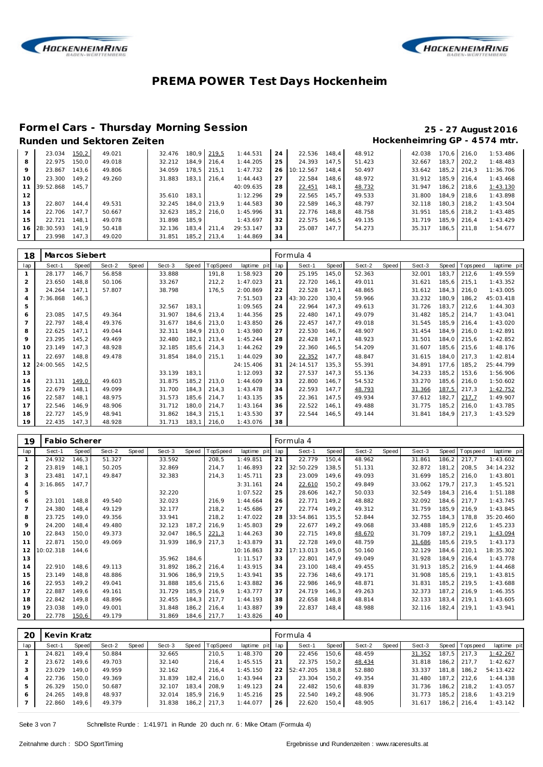



#### **Formel Cars - Thursday Morning Session 25 - 27 August 2016**

### Runden und Sektoren Zeiten **Munden und Sektoren Zeiten Hockenheimring GP** - 4574 mtr.

|    | 23.034       | 150,2 | 49.021 | 32.476 | 180.9  | 219.5 | 1:44.531  | 24 | 22.536    | 148.4 | 48.912 | 42.038 | 170.6 I | 216.0 | 1:53.486  |
|----|--------------|-------|--------|--------|--------|-------|-----------|----|-----------|-------|--------|--------|---------|-------|-----------|
| 8  | 22.975       | 150.0 | 49.018 | 32.212 | 184.9  | 216.4 | 1:44.205  | 25 | 24.393    | 147.5 | 51.423 | 32.667 | 183.7   | 202.2 | 1:48.483  |
| 9  | 23.867       | 143.6 | 49.806 | 34.059 | 178.5  | 215.1 | 1:47.732  | 26 | 10:12.567 | 148.4 | 50.497 | 33.642 | 185.2   | 214.3 | 11:36.706 |
| 10 | 23.300       | 149.2 | 49.260 | 31.883 | 183.1  | 216.4 | 1:44.443  | 27 | 22.584    | 148.6 | 48.972 | 31.912 | 185.9   | 216.4 | 1:43.468  |
|    | 11 39:52.868 | 145.7 |        |        |        |       | 40:09.635 | 28 | 22.451    | 148.1 | 48.732 | 31.947 | 186.2   | 218.6 | 1:43.130  |
| 12 |              |       |        | 35.610 | 183.1  |       | 1:12.296  | 29 | 22.565    | 145.7 | 49.533 | 31.800 | 184.9   | 218.6 | 1:43.898  |
| 13 | 22.807       | 144.4 | 49.531 | 32.245 | 184.0  | 213.9 | 1:44.583  | 30 | 22.589    | 146.3 | 48.797 | 32.118 | 180.3   | 218.2 | 1:43.504  |
| 14 | 22.706       | 147.7 | 50.667 | 32.623 | 185.2  | 216.0 | 1:45.996  | 31 | 22.776    | 148.8 | 48.758 | 31.951 | 185.6   | 218.2 | 1:43.485  |
| 15 | 22.721       | 148.1 | 49.078 | 31.898 | 185.9  |       | 1:43.697  | 32 | 22.575    | 146.5 | 49.135 | 31.719 | 185.9   | 216.4 | 1:43.429  |
|    | 16 28:30.593 | 141.9 | 50.418 | 32.136 | 183.4  | 211.4 | 29:53.147 | 33 | 25.087    | 147.7 | 54.273 | 35.317 | 186.5   | 211.8 | 1:54.677  |
| 17 | 23.998       | 147.3 | 49.020 | 31.851 | 185, 2 | 213.4 | 1:44.869  | 34 |           |       |        |        |         |       |           |

| 18  | Marcos Siebert |              |        |       |        |       |          |             |     | Formula 4 |       |        |       |        |        |                 |             |
|-----|----------------|--------------|--------|-------|--------|-------|----------|-------------|-----|-----------|-------|--------|-------|--------|--------|-----------------|-------------|
| lap | Sect-1         | <b>Speed</b> | Sect-2 | Speed | Sect-3 | Speed | TopSpeed | laptime pit | lap | Sect-1    | Speed | Sect-2 | Speed | Sect-3 | Speed  | <b>Topspeed</b> | laptime pit |
|     | 28.177         | 146,7        | 56.858 |       | 33.888 |       | 191,8    | 1:58.923    | 20  | 25.195    | 145,0 | 52.363 |       | 32.001 | 183,7  | 212,6           | 1:49.559    |
| 2   | 23.650         | 148,8        | 50.106 |       | 33.267 |       | 212,2    | 1:47.023    | 21  | 22.720    | 146,1 | 49.011 |       | 31.621 | 185,6  | 215,1           | 1:43.352    |
| 3   | 24.264         | 147.1        | 57.807 |       | 38.798 |       | 176,5    | 2:00.869    | 22  | 22.528    | 147,1 | 48.865 |       | 31.612 | 184,3  | 216,0           | 1:43.005    |
| 4   | 7:36.868       | 146,3        |        |       |        |       |          | 7:51.503    | 23  | 43:30.220 | 130,4 | 59.966 |       | 33.232 | 180,9  | 186,2           | 45:03.418   |
| 5   |                |              |        |       | 32.567 | 183,1 |          | 1:09.565    | 24  | 22.964    | 147,3 | 49.613 |       | 31.726 | 183,7  | 212,6           | 1:44.303    |
| 6   | 23.085         | 147.5        | 49.364 |       | 31.907 | 184,6 | 213,4    | 1:44.356    | 25  | 22.480    | 147,1 | 49.079 |       | 31.482 | 185,2  | 214,7           | 1:43.041    |
|     | 22.797         | 148,4        | 49.376 |       | 31.677 | 184,6 | 213,0    | 1:43.850    | 26  | 22.457    | 147,7 | 49.018 |       | 31.545 | 185,9  | 216,4           | 1:43.020    |
| 8   | 22.625         | 147,1        | 49.044 |       | 32.311 | 184,9 | 213,0    | 1:43.980    | 27  | 22.530    | 146,7 | 48.907 |       | 31.454 | 184,9  | 216,0           | 1:42.891    |
| 9   | 23.295         | 145,2        | 49.469 |       | 32.480 | 182,1 | 213,4    | 1:45.244    | 28  | 22.428    | 147,1 | 48.923 |       | 31.501 | 184,0  | 215,6           | 1:42.852    |
| 10  | 23.149         | 147,3        | 48.928 |       | 32.185 | 185,6 | 214,3    | 1:44.262    | 29  | 22.360    | 146,5 | 54.209 |       | 31.607 | 185,6  | 215,6           | 1:48.176    |
| 11  | 22.697         | 148,8        | 49.478 |       | 31.854 | 184,0 | 215,1    | 1:44.029    | 30  | 22.352    | 147,7 | 48.847 |       | 31.615 | 184,0  | 217,3           | 1:42.814    |
| 12  | 24:00.565      | 142,5        |        |       |        |       |          | 24:15.406   | 31  | 24:14.517 | 135,3 | 55.391 |       | 34.891 | 177,6  | 185,2           | 25:44.799   |
| 13  |                |              |        |       | 33.139 | 183,1 |          | 1:12.093    | 32  | 27.537    | 147,3 | 55.136 |       | 34.233 | 185,2  | 153,6           | 1:56.906    |
| 14  | 23.131         | 149,0        | 49.603 |       | 31.875 | 185,2 | 213,0    | 1:44.609    | 33  | 22.800    | 146.7 | 54.532 |       | 33.270 | 185,6  | 216.0           | 1:50.602    |
| 15  | 22.679         | 148.1        | 49.099 |       | 31.700 | 184,3 | 214,3    | 1:43.478    | 34  | 22.593    | 147,7 | 48.793 |       | 31.366 | 187,5  | 217,3           | 1:42.752    |
| 16  | 22.587         | 148,1        | 48.975 |       | 31.573 | 185,6 | 214,7    | 1:43.135    | 35  | 22.361    | 147,5 | 49.934 |       | 37.612 | 182,7  | 217.7           | 1:49.907    |
| 17  | 22.546         | 146.9        | 48.906 |       | 31.712 | 180,0 | 214,7    | 1:43.164    | 36  | 22.522    | 146,1 | 49.488 |       | 31.775 | 185, 2 | 216,0           | 1:43.785    |
| 18  | 22.727         | 145,9        | 48.941 |       | 31.862 | 184,3 | 215,1    | 1:43.530    | 37  | 22.544    | 146,5 | 49.144 |       | 31.841 | 184,9  | 217,3           | 1:43.529    |
| 19  | 22.435         | 147,3        | 48.928 |       | 31.713 | 183,1 | 216,0    | 1:43.076    | 38  |           |       |        |       |        |        |                 |             |

| 19             | Fabio Scherer |       |        |       |        |       |          |             |     | Formula 4 |       |        |       |        |        |          |             |
|----------------|---------------|-------|--------|-------|--------|-------|----------|-------------|-----|-----------|-------|--------|-------|--------|--------|----------|-------------|
| lap            | Sect-1        | Speed | Sect-2 | Speed | Sect-3 | Speed | TopSpeed | laptime pit | lap | Sect-1    | Speed | Sect-2 | Speed | Sect-3 | Speed  | Topspeed | laptime pit |
|                | 24.932        | 146,3 | 51.327 |       | 33.592 |       | 208,5    | 1:49.851    | 21  | 22.779    | 150,4 | 48.962 |       | 31.861 | 186,2  | 217,7    | 1:43.602    |
| 2              | 23.819        | 148,1 | 50.205 |       | 32.869 |       | 214,7    | 1:46.893    | 22  | 32:50.229 | 138,5 | 51.131 |       | 32.872 | 181,2  | 208,5    | 34:14.232   |
| 3              | 23.481        | 147,1 | 49.847 |       | 32.383 |       | 214,3    | 1:45.711    | 23  | 23.009    | 149,6 | 49.093 |       | 31.699 | 185,2  | 216.0    | 1:43.801    |
| $\overline{4}$ | 3:16.865      | 147.7 |        |       |        |       |          | 3:31.161    | 24  | 22.610    | 150,2 | 49.849 |       | 33.062 | 179.7  | 217.3    | 1:45.521    |
| 5              |               |       |        |       | 32.220 |       |          | 1:07.522    | 25  | 28.606    | 142,7 | 50.033 |       | 32.549 | 184,3  | 216.4    | 1:51.188    |
| 6              | 23.101        | 148,8 | 49.540 |       | 32.023 |       | 216.9    | 1:44.664    | 26  | 22.771    | 149,2 | 48.882 |       | 32.092 | 184,6  | 217,7    | 1:43.745    |
| $\overline{7}$ | 24.380        | 148,4 | 49.129 |       | 32.177 |       | 218,2    | 1:45.686    | 27  | 22.774    | 149.2 | 49.312 |       | 31.759 | 185,9  | 216.9    | 1:43.845    |
| 8              | 23.725        | 149,0 | 49.356 |       | 33.941 |       | 218,2    | 1:47.022    | 28  | 33:54.861 | 135,5 | 52.844 |       | 32.755 | 184.3  | 178,8    | 35:20.460   |
| 9              | 24.200        | 148,4 | 49.480 |       | 32.123 | 187,2 | 216.9    | 1:45.803    | 29  | 22.677    | 149.2 | 49.068 |       | 33.488 | 185,9  | 212,6    | 1:45.233    |
| 10             | 22.843        | 150,0 | 49.373 |       | 32.047 | 186,5 | 221,3    | 1:44.263    | 30  | 22.715    | 149,8 | 48.670 |       | 31.709 | 187,2  | 219,1    | 1:43.094    |
| 11             | 22.871        | 150.0 | 49.069 |       | 31.939 | 186,9 | 217.3    | 1:43.879    | 31  | 22.728    | 149.0 | 48.759 |       | 31.686 | 185,6  | 219,5    | 1:43.173    |
| 12             | 10:02.318     | 144.6 |        |       |        |       |          | 10:16.863   | 32  | 17:13.013 | 145,0 | 50.160 |       | 32.129 | 184,6  | 210.1    | 18:35.302   |
| 13             |               |       |        |       | 35.962 | 184,6 |          | 1:11.517    | 33  | 22.801    | 147,9 | 49.049 |       | 31.928 | 184,9  | 216,4    | 1:43.778    |
| 14             | 22.910        | 148,6 | 49.113 |       | 31.892 | 186,2 | 216,4    | 1:43.915    | 34  | 23.100    | 148,4 | 49.455 |       | 31.913 | 185,2  | 216,9    | 1:44.468    |
| 15             | 23.149        | 148.8 | 48.886 |       | 31.906 | 186,9 | 219,5    | 1:43.941    | 35  | 22.736    | 148,6 | 49.171 |       | 31.908 | 185,6  | 219.1    | 1:43.815    |
| 16             | 22.953        | 149,2 | 49.041 |       | 31.888 | 185,6 | 215,6    | 1:43.882    | 36  | 22.986    | 146.9 | 48.871 |       | 31.831 | 185, 2 | 219.5    | 1:43.688    |
| 17             | 22.887        | 149,6 | 49.161 |       | 31.729 | 185,9 | 216,9    | 1:43.777    | 37  | 24.719    | 146,3 | 49.263 |       | 32.373 | 187,2  | 216,9    | 1:46.355    |
| 18             | 22.842        | 149,8 | 48.896 |       | 32.455 | 184,3 | 217,7    | 1:44.193    | 38  | 22.658    | 148,8 | 48.814 |       | 32.133 | 183,4  | 219,1    | 1:43.605    |
| 19             | 23.038        | 149,0 | 49.001 |       | 31.848 | 186,2 | 216,4    | 1:43.887    | 39  | 22.837    | 148,4 | 48.988 |       | 32.116 | 182,4  | 219,1    | 1:43.941    |
| 20             | 22.778        | 150,6 | 49.179 |       | 31.869 | 184,6 | 217,7    | 1:43.826    | 40  |           |       |        |       |        |        |          |             |

| 20  | Kevin Kratz |       |        |       |        |       |             |             |     | Formula 4 |       |        |       |        |       |                 |             |
|-----|-------------|-------|--------|-------|--------|-------|-------------|-------------|-----|-----------|-------|--------|-------|--------|-------|-----------------|-------------|
| lap | Sect-1      | Speed | Sect-2 | Speed | Sect-3 | Speed | TopSpeed    | laptime pit | lap | Sect-1    | Speed | Sect-2 | Speed | Sect-3 |       | Speed Tops peed | laptime pit |
|     | 24.821      | 149.4 | 50.884 |       | 32.665 |       | 210.5       | 1:48.370    | 20  | 22.456    | 150,6 | 48.459 |       | 31.352 | 187.5 | 217.3           | 1:42.267    |
|     | 23.672      | 149.6 | 49.703 |       | 32.140 |       | 216.4       | 1:45.515    | 21  | 22.375    | 150.2 | 48.434 |       | 31.818 |       | 186,2 217,7     | 1:42.627    |
|     | 23.029      | 149.0 | 49.959 |       | 32.162 |       | 216.4       | 1:45.150    | 22  | 52:47.205 | 138.8 | 52.880 |       | 33.337 |       | 181.8   186.2   | 54:13.422   |
|     | 22.736      | 150.0 | 49.369 |       | 31.839 | 182.4 | 216.0       | 1:43.944    | 23  | 23.304    | 150.2 | 49.354 |       | 31.480 |       | 187.2 212.6     | 1:44.138    |
| 5   | 26.329      | 150.0 | 50.687 |       | 32.107 | 183.4 | 208.9       | 1:49.123    | 24  | 22.482    | 150.6 | 48.839 |       | 31.736 |       | 186,2 218,2     | 1:43.057    |
| 6   | 24.265      | 149.8 | 48.937 |       | 32.014 |       | 185,9 216,9 | 1:45.216    | 25  | 22.540    | 149.2 | 48.906 |       | 31.773 |       | 185.2 218.6     | 1:43.219    |
|     | 22.860      | 149,6 | 49.379 |       | 31.838 |       | 186,2 217,3 | 1:44.077    | 26  | 22.620    | 150,4 | 48.905 |       | 31.617 |       | 186,2 216,4     | 1:43.142    |

Seite 3 von 7 Schnellste Runde : 1:41.971 in Runde 20 duch nr. 6 : Mike Ortam (Formula 4)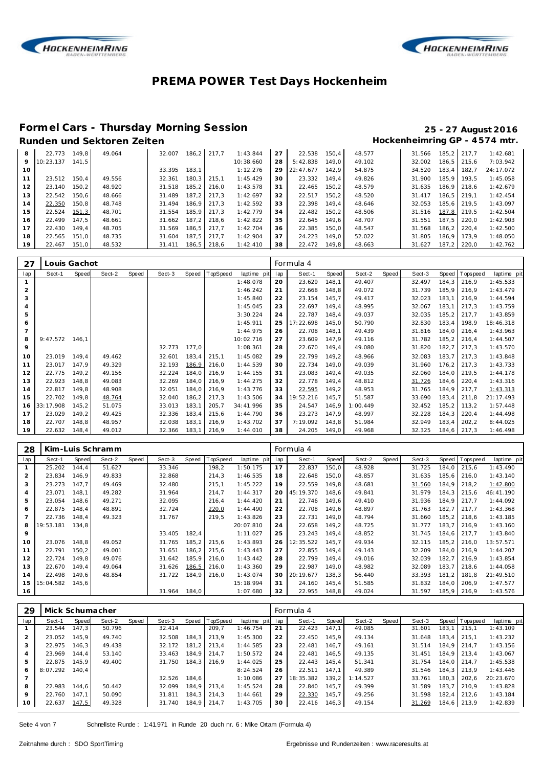



#### **Formel Cars - Thursday Morning Session 25 - 27 August 2016**

### Runden und Sektoren Zeiten **Munden und Sektoren Zeiten Hockenheimring GP** - 4574 mtr.

| 8       | 22.773    | 149.8 | 49.064 | 32.007 |       | 186.2 217.7 | 1:43.844  | 27 | 22.538    | 150.4 | 48.577 | 31.566 | 185.2 | 217.7 | 1:42.681  |
|---------|-----------|-------|--------|--------|-------|-------------|-----------|----|-----------|-------|--------|--------|-------|-------|-----------|
| $\circ$ | 10:23.137 | 141.5 |        |        |       |             | 10:38.660 | 28 | 5:42.838  | 149.0 | 49.102 | 32.002 | 186.5 | 215.6 | 7:03.942  |
| 10      |           |       |        | 33.395 | 183.1 |             | 1:12.276  | 29 | 22:47.677 | 142.9 | 54.875 | 34.520 | 183.4 | 182.7 | 24:17.072 |
|         | 23.512    | 150.4 | 49.556 | 32.361 | 180.3 | 215.1       | 1:45.429  | 30 | 23.332    | 149.4 | 49.826 | 31.900 | 185.9 | 193.5 | 1:45.058  |
| 12      | 23.140    | 150.2 | 48.920 | 31.518 | 185.2 | 216.0       | 1:43.578  | 31 | 22.465    | 150.2 | 48.579 | 31.635 | 186.9 | 218.6 | 1:42.679  |
| 13      | 22.542    | 150.6 | 48.666 | 31.489 | 187.2 | 217.3       | 1:42.697  | 32 | 22.517    | 150.2 | 48.520 | 31.417 | 186.5 | 219.1 | 1:42.454  |
| 14      | 22.350    | 150.8 | 48.748 | 31.494 | 186.9 | 217.3       | 1:42.592  | 33 | 22.398    | 149.4 | 48.646 | 32.053 | 185.6 | 219.5 | 1:43.097  |
| 15      | 22.524    | 151.3 | 48.701 | 31.554 | 185.9 | 217.3       | 1:42.779  | 34 | 22.482    | 150.2 | 48.506 | 31.516 | 187.8 | 219.5 | 1:42.504  |
| 16      | 22.499    | 147.5 | 48.661 | 31.662 | 187.2 | 218.6       | 1:42.822  | 35 | 22.645    | 149.6 | 48.707 | 31.551 | 187.5 | 220.0 | 1:42.903  |
| 17      | 22.430    | 149.4 | 48.705 | 31.569 | 186.5 | 217.7       | 1:42.704  | 36 | 22.385    | 150.0 | 48.547 | 31.568 | 186.2 | 220.4 | 1:42.500  |
| 18      | 22.565    | 151.0 | 48.735 | 31.604 | 187.5 | 217.7       | 1:42.904  | 37 | 24.223    | 149.0 | 52.022 | 31.805 | 186.9 | 173.9 | 1:48.050  |
| 19      | 22.467    | 151.0 | 48.532 | 31.411 |       | 186,5 218,6 | 1:42.410  | 38 | 22.472    | 149.8 | 48.663 | 31.627 | 187.2 | 220.0 | 1:42.762  |

| 27             | Louis Gachot |       |        |       |        |       |          |             |     | Formula 4 |       |          |       |        |        |             |             |
|----------------|--------------|-------|--------|-------|--------|-------|----------|-------------|-----|-----------|-------|----------|-------|--------|--------|-------------|-------------|
| lap            | Sect-1       | Speed | Sect-2 | Speed | Sect-3 | Speed | TopSpeed | laptime pit | lap | Sect-1    | Speed | Sect-2   | Speed | Sect-3 | Speed  | T ops pee d | laptime pit |
|                |              |       |        |       |        |       |          | 1:48.078    | 20  | 23.629    | 148,1 | 49.407   |       | 32.497 | 184.3  | 216,9       | 1:45.533    |
| 2              |              |       |        |       |        |       |          | 1:46.242    | 21  | 22.668    | 148,8 | 49.072   |       | 31.739 | 185,9  | 216,9       | 1:43.479    |
| 3              |              |       |        |       |        |       |          | 1:45.840    | 22  | 23.154    | 145,7 | 49.417   |       | 32.023 | 183,1  | 216,9       | 1:44.594    |
| $\overline{4}$ |              |       |        |       |        |       |          | 1:45.045    | 23  | 22.697    | 149,4 | 48.995   |       | 32.067 | 183,1  | 217,3       | 1:43.759    |
| 5              |              |       |        |       |        |       |          | 3:30.224    | 24  | 22.787    | 148,4 | 49.037   |       | 32.035 | 185, 2 | 217,7       | 1:43.859    |
| 6              |              |       |        |       |        |       |          | 1:45.911    | 25  | 17:22.698 | 145,0 | 50.790   |       | 32.830 | 183,4  | 198,9       | 18:46.318   |
| $\overline{7}$ |              |       |        |       |        |       |          | 1:44.975    | 26  | 22.708    | 148,1 | 49.439   |       | 31.816 | 184,0  | 216,4       | 1:43.963    |
| 8              | 9:47.572     | 146.1 |        |       |        |       |          | 10:02.716   | 27  | 23.609    | 147,9 | 49.116   |       | 31.782 | 185,2  | 216,4       | 1:44.507    |
| 9              |              |       |        |       | 32.773 | 177,0 |          | 1:08.361    | 28  | 22.670    | 149,4 | 49.080   |       | 31.820 | 182,7  | 217,3       | 1:43.570    |
| 10             | 23.019       | 149.4 | 49.462 |       | 32.601 | 183,4 | 215,1    | 1:45.082    | 29  | 22.799    | 149,2 | 48.966   |       | 32.083 | 183,7  | 217,3       | 1:43.848    |
| 11             | 23.017       | 147,9 | 49.329 |       | 32.193 | 186,9 | 216,0    | 1:44.539    | 30  | 22.734    | 149,0 | 49.039   |       | 31.960 | 176,2  | 217,3       | 1:43.733    |
| 12             | 22.775       | 149,2 | 49.156 |       | 32.224 | 184,0 | 216,9    | 1:44.155    | 31  | 23.083    | 149,4 | 49.035   |       | 32.060 | 184,0  | 219,5       | 1:44.178    |
| 13             | 22.923       | 148,8 | 49.083 |       | 32.269 | 184,0 | 216,9    | 1:44.275    | 32  | 22.778    | 149,4 | 48.812   |       | 31.726 | 184,6  | 220,4       | 1:43.316    |
| 14             | 22.817       | 149,8 | 48.908 |       | 32.051 | 184,0 | 216,9    | 1:43.776    | 33  | 22.595    | 149,2 | 48.953   |       | 31.765 | 184,9  | 217,7       | 1:43.313    |
| 15             | 22.702       | 149,8 | 48.764 |       | 32.040 | 186,2 | 217,3    | 1:43.506    | 34  | 19:52.216 | 145,7 | 51.587   |       | 33.690 | 183,4  | 211,8       | 21:17.493   |
| 16             | 33:17.908    | 145,2 | 51.075 |       | 33.013 | 183,1 | 205,7    | 34:41.996   | 35  | 24.547    | 146,9 | 1:00.449 |       | 32.452 | 185,2  | 113,2       | 1:57.448    |
| 17             | 23.029       | 149,2 | 49.425 |       | 32.336 | 183,4 | 215,6    | 1:44.790    | 36  | 23.273    | 147,9 | 48.997   |       | 32.228 | 184,3  | 220,4       | 1:44.498    |
| 18             | 22.707       | 148,8 | 48.957 |       | 32.038 | 183,1 | 216,9    | 1:43.702    | 37  | 7:19.092  | 143,8 | 51.984   |       | 32.949 | 183,4  | 202,2       | 8:44.025    |
| 19             | 22.632       | 148,4 | 49.012 |       | 32.366 | 183,1 | 216,9    | 1:44.010    | 38  | 24.205    | 149,0 | 49.968   |       | 32.325 | 184,6  | 217,3       | 1:46.498    |

| 28             |           |       | Kim-Luis Schramm |       |        |       |          |             |     | Formula 4 |       |        |       |        |        |                |             |
|----------------|-----------|-------|------------------|-------|--------|-------|----------|-------------|-----|-----------|-------|--------|-------|--------|--------|----------------|-------------|
| lap            | Sect-1    | Speed | Sect-2           | Speed | Sect-3 | Speed | TopSpeed | laptime pit | lap | Sect-1    | Speed | Sect-2 | Speed | Sect-3 |        | Speed Topspeed | laptime pit |
|                | 25.202    | 144,4 | 51.627           |       | 33.346 |       | 198,2    | 1:50.175    | 17  | 22.837    | 150,0 | 48.928 |       | 31.725 | 184,0  | 215,6          | 1:43.490    |
| 2              | 23.834    | 146,9 | 49.833           |       | 32.868 |       | 214,3    | 1:46.535    | 18  | 22.648    | 150,0 | 48.857 |       | 31.635 | 185,6  | 216.0          | 1:43.140    |
| 3              | 23.273    | 147.7 | 49.469           |       | 32.480 |       | 215,1    | 1:45.222    | 19  | 22.559    | 149.8 | 48.681 |       | 31.560 | 184,9  | 218,2          | 1:42.800    |
| $\overline{4}$ | 23.071    | 148.1 | 49.282           |       | 31.964 |       | 214,7    | 1:44.317    | 20  | 45:19.370 | 148.6 | 49.841 |       | 31.979 |        | 184, 3 215, 6  | 46:41.190   |
| 5              | 23.054    | 148,6 | 49.271           |       | 32.095 |       | 216,4    | 1:44.420    | 21  | 22.746    | 149,6 | 49.410 |       | 31.936 | 184.9  | 217.7          | 1:44.092    |
| 6              | 22.875    | 148,4 | 48.891           |       | 32.724 |       | 220,0    | 1:44.490    | 22  | 22.708    | 149,6 | 48.897 |       | 31.763 | 182.7  | 217.7          | 1:43.368    |
|                | 22.736    | 148.4 | 49.323           |       | 31.767 |       | 219,5    | 1:43.826    | 23  | 22.731    | 149.0 | 48.794 |       | 31.660 | 185.2  | 218.6          | 1:43.185    |
| 8              | 19:53.181 | 134.8 |                  |       |        |       |          | 20:07.810   | 24  | 22.658    | 149,2 | 48.725 |       | 31.777 | 183.7  | 216.9          | 1:43.160    |
| $\circ$        |           |       |                  |       | 33.405 | 182,4 |          | 1:11.027    | 25  | 23.243    | 149,4 | 48.852 |       | 31.745 | 184,6  | 217,7          | 1:43.840    |
| 10             | 23.076    | 148.8 | 49.052           |       | 31.765 | 185,2 | 215,6    | 1:43.893    | 26  | 12:35.522 | 145.7 | 49.934 |       | 32.115 | 185, 2 | 216.0          | 13:57.571   |
| 11             | 22.791    | 150,2 | 49.001           |       | 31.651 | 186,2 | 215,6    | 1:43.443    | 27  | 22.855    | 149.4 | 49.143 |       | 32.209 | 184.0  | 216.9          | 1:44.207    |
| 12             | 22.724    | 149.8 | 49.076           |       | 31.642 | 185,9 | 216.0    | 1:43.442    | 28  | 22.799    | 149.4 | 49.016 |       | 32.039 | 182.7  | 216.9          | 1:43.854    |
| 13             | 22.670    | 149.4 | 49.064           |       | 31.626 | 186,5 | 216,0    | 1:43.360    | 29  | 22.987    | 149.0 | 48.982 |       | 32.089 | 183.7  | 218.6          | 1:44.058    |
| 14             | 22.498    | 149,6 | 48.854           |       | 31.722 | 184,9 | 216,0    | 1:43.074    | 30  | 20:19.677 | 138.3 | 56.440 |       | 33.393 | 181,2  | 181,8          | 21:49.510   |
| 15             | 15:04.582 | 145.6 |                  |       |        |       |          | 15:18.994   | 31  | 24.160    | 145.4 | 51.585 |       | 31.832 | 184.0  | 206.9          | 1:47.577    |
| 16             |           |       |                  |       | 31.964 | 184.0 |          | 1:07.680    | 32  | 22.955    | 148.8 | 49.024 |       | 31.597 |        | 185,9 216,9    | 1:43.576    |

| 29  | Mick Schumacher |       |        |       |        |       |          |             |     | Formula 4 |       |          |       |        |       |                |             |
|-----|-----------------|-------|--------|-------|--------|-------|----------|-------------|-----|-----------|-------|----------|-------|--------|-------|----------------|-------------|
| lap | Sect-1          | Speed | Sect-2 | Speed | Sect-3 | Speed | TopSpeed | laptime pit | lap | Sect-1    | Speed | Sect-2   | Speed | Sect-3 |       | Speed Topspeed | laptime pit |
|     | 23.544          | 147.3 | 50.796 |       | 32.414 |       | 209.7    | 1:46.754    | 21  | 22.423    | 147.1 | 49.085   |       | 31.601 | 183.1 | 215.1          | 1:43.109    |
|     | 23.052          | 145.9 | 49.740 |       | 32.508 | 184.3 | 213.9    | 1:45.300    | 22  | 22.450    | 145.9 | 49.134   |       | 31.648 | 183.4 | 215.1          | 1:43.232    |
| 3   | 22.975          | 146.3 | 49.438 |       | 32.172 | 181.2 | 213.4    | 1:44.585    | 23  | 22.481    | 146.7 | 49.161   |       | 31.514 | 184.9 | 214.7          | 1:43.156    |
| 4   | 23.969          | 144.4 | 53.140 |       | 33.463 | 184.9 | 214.7    | 1:50.572    | 24  | 22.481    | 146.5 | 49.135   |       | 31.451 | 184.9 | 213.4          | 1:43.067    |
| 5   | 22.875          | 145.9 | 49.400 |       | 31.750 | 184,3 | 216.9    | 1:44.025    | 25  | 22.443    | 145.4 | 51.341   |       | 31.754 | 184.0 | 214.7          | 1:45.538    |
| 6   | 8:07.292        | 140.4 |        |       |        |       |          | 8:24.524    | 26  | 22.511    | 147.1 | 49.389   |       | 31.546 | 184.3 | 213.9          | 1:43.446    |
|     |                 |       |        |       | 32.526 | 184.6 |          | 1:10.086    | 27  | 18:35.382 | 139.2 | 1:14.527 |       | 33.761 | 180.3 | 202.6          | 20:23.670   |
| 8   | 22.983          | 144.6 | 50.442 |       | 32.099 | 184.9 | 213.4    | 1:45.524    | 28  | 22.840    | 145.7 | 49.399   |       | 31.589 | 183.7 | 210.9          | 1:43.828    |
| 9   | 22.760          | 147.1 | 50.090 |       | 31.811 | 184.3 | 214.3    | 1:44.661    | 29  | 22.330    | 145.7 | 49.256   |       | 31.598 | 182.4 | 212.6          | 1:43.184    |
| 10  | 22.637          | 147,5 | 49.328 |       | 31.740 | 184,9 | 214,7    | 1:43.705    | 30  | 22.416    | 146,3 | 49.154   |       | 31.269 | 184,6 | 213,9          | 1:42.839    |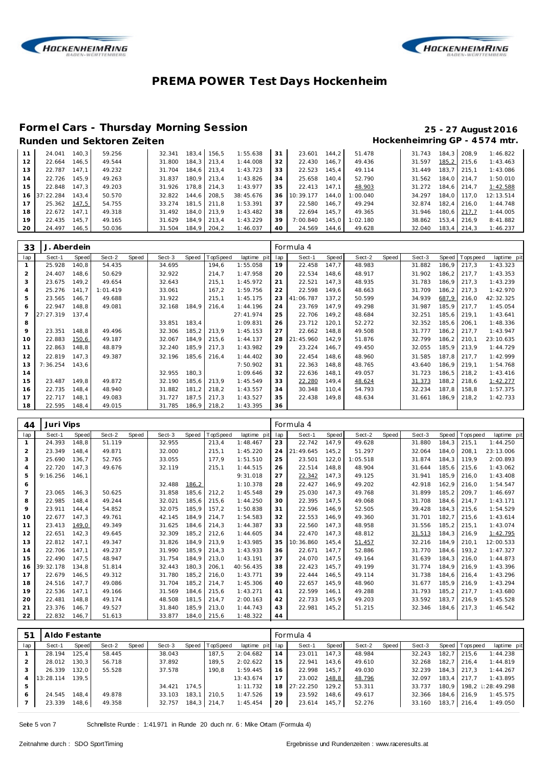



#### **Formel Cars - Thursday Morning Session 25 - 27 August 2016**

## Runden und Sektoren Zeiten **Munden und Sektoren Zeiten Hockenheimring GP** - 4574 mtr.

|    | 24.041    | 140.3 | 59.256 | 32.341 | 183.4 | 156.5 | 1:55.638  | 31 | 23.601    | 144.2 | 51.478   | 31.743 | 184.3 | 208.9 | 1:46.822  |
|----|-----------|-------|--------|--------|-------|-------|-----------|----|-----------|-------|----------|--------|-------|-------|-----------|
| 12 | 22.664    | 146.5 | 49.544 | 31.800 | 184.3 | 213.4 | 1:44.008  | 32 | 22.430    | 146.7 | 49.436   | 31.597 | 185,2 | 215.6 | 1:43.463  |
| 13 | 22.787    | 147.1 | 49.232 | 31.704 | 184.6 | 213.4 | 1:43.723  | 33 | 22.523    | 145.4 | 49.114   | 31.449 | 183.7 | 215.1 | 1:43.086  |
| 14 | 22.726    | 145.9 | 49.263 | 31.837 | 180.9 | 213.4 | 1:43.826  | 34 | 25.658    | 140.4 | 52.790   | 31.562 | 184.0 | 214.7 | 1:50.010  |
| 15 | 22.848    | 147.3 | 49.203 | 31.926 | 178.8 | 214.3 | 1:43.977  | 35 | 22.413    | 147.1 | 48.903   | 31.272 | 184.6 | 214.7 | 1:42.588  |
| 16 | 37:22.284 | 143.4 | 50.570 | 32.822 | 144.6 | 208.5 | 38:45.676 | 36 | 10:39.177 | 144.0 | 1:00.040 | 34.297 | 184.0 | 117.0 | 12:13.514 |
| 17 | 25.362    | 147.5 | 54.755 | 33.274 | 181.5 | 211.8 | 1:53.391  | 37 | 22.580    | 146.7 | 49.294   | 32.874 | 182.4 | 216.0 | 1:44.748  |
| 18 | 22.672    | 147.1 | 49.318 | 31.492 | 184.0 | 213.9 | 1:43.482  | 38 | 22.694    | 145.7 | 49.365   | 31.946 | 180.6 | 217.7 | 1:44.005  |
| 19 | 22.435    | 145.7 | 49.165 | 31.629 | 184.9 | 213.4 | 1:43.229  | 39 | 7:00.840  | 145.0 | 1:02.180 | 38.862 | 153.4 | 216.9 | 8:41.882  |
| 20 | 24.497    | 146.5 | 50.036 | 31.504 | 184.9 | 204.2 | 1:46.037  | 40 | 24.569    | 144.6 | 49.628   | 32.040 | 183.4 | 214.3 | 1:46.237  |

| 33  | J.        | Aberdein |          |       |        |       |             |             |     | Formula 4 |       |        |       |        |       |             |             |
|-----|-----------|----------|----------|-------|--------|-------|-------------|-------------|-----|-----------|-------|--------|-------|--------|-------|-------------|-------------|
| lap | Sect-1    | Speed    | Sect-2   | Speed | Sect-3 | Speed | TopSpeed    | laptime pit | lap | Sect-1    | Speed | Sect-2 | Speed | Sect-3 | Speed | T ops pee d | laptime pit |
|     | 25.928    | 140,8    | 54.435   |       | 34.695 |       | 194,6       | 1:55.058    | 19  | 22.458    | 147,7 | 48.983 |       | 31.882 | 186,9 | 217,3       | 1:43.323    |
| 2   | 24.407    | 148,6    | 50.629   |       | 32.922 |       | 214,7       | 1:47.958    | 20  | 22.534    | 148,6 | 48.917 |       | 31.902 | 186,2 | 217.7       | 1:43.353    |
| 3   | 23.675    | 149,2    | 49.654   |       | 32.643 |       | 215,1       | 1:45.972    | 21  | 22.521    | 147,3 | 48.935 |       | 31.783 | 186,9 | 217,3       | 1:43.239    |
| 4   | 25.276    | 141,7    | 1:01.419 |       | 33.061 |       | 167,2       | 1:59.756    | 22  | 22.598    | 149,6 | 48.663 |       | 31.709 | 186,2 | 217,3       | 1:42.970    |
| 5   | 23.565    | 146.7    | 49.688   |       | 31.922 |       | 215,1       | 1:45.175    | 23  | 41:06.787 | 137,2 | 50.599 |       | 34.939 | 687,9 | 216,0       | 42:32.325   |
| 6   | 22.947    | 148.8    | 49.081   |       | 32.168 | 184,9 | 216,4       | 1:44.196    | 24  | 23.769    | 147.9 | 49.298 |       | 31.987 | 185,9 | 217.7       | 1:45.054    |
|     | 27:27.319 | 137.4    |          |       |        |       |             | 27:41.974   | 25  | 22.706    | 149,2 | 48.684 |       | 32.251 | 185,6 | 219,1       | 1:43.641    |
| 8   |           |          |          |       | 33.851 | 183,4 |             | 1:09.831    | 26  | 23.712    | 120,1 | 52.272 |       | 32.352 | 185,6 | 206.1       | 1:48.336    |
| 9   | 23.351    | 148.8    | 49.496   |       | 32.306 | 185,2 | 213,9       | 1:45.153    | 27  | 22.662    | 148.8 | 49.508 |       | 31.777 | 186,2 | 217,7       | 1:43.947    |
| 10  | 22.883    | 150,6    | 49.187   |       | 32.067 | 184,9 | 215,6       | 1:44.137    | 28  | 21:45.960 | 142,9 | 51.876 |       | 32.799 | 186,2 | 210.1       | 23:10.635   |
| 11  | 22.863    | 148,8    | 48.879   |       | 32.240 | 185,9 | 217,3       | 1:43.982    | 29  | 23.224    | 146,7 | 49.450 |       | 32.055 | 185,9 | 213,9       | 1:44.729    |
| 12  | 22.819    | 147.3    | 49.387   |       | 32.196 | 185,6 | 216,4       | 1:44.402    | 30  | 22.454    | 148,6 | 48.960 |       | 31.585 | 187.8 | 217.7       | 1:42.999    |
| 13  | 7:36.254  | 143,6    |          |       |        |       |             | 7:50.902    | 31  | 22.363    | 148,8 | 48.765 |       | 43.640 | 186,9 | 219,1       | 1:54.768    |
| 14  |           |          |          |       | 32.955 | 180,3 |             | 1:09.646    | 32  | 22.636    | 148,1 | 49.057 |       | 31.723 | 186,5 | 218,2       | 1:43.416    |
| 15  | 23.487    | 149.8    | 49.872   |       | 32.190 | 185,6 | 213,9       | 1:45.549    | 33  | 22.280    | 149,4 | 48.624 |       | 31.373 | 188,2 | 218,6       | 1:42.277    |
| 16  | 22.735    | 148,4    | 48.940   |       | 31.882 | 181,2 | 218,2       | 1:43.557    | 34  | 30.348    | 110,4 | 54.793 |       | 32.234 | 187.8 | 158,8       | 1:57.375    |
| 17  | 22.717    | 148,1    | 49.083   |       | 31.727 | 187,5 | 217,3       | 1:43.527    | 35  | 22.438    | 149,8 | 48.634 |       | 31.661 | 186,9 | 218,2       | 1:42.733    |
| 18  | 22.595    | 148,4    | 49.015   |       | 31.785 |       | 186,9 218,2 | 1:43.395    | 36  |           |       |        |       |        |       |             |             |

| 44             | Juri Vips |              |        |       |        |       |          |             |     | Formula 4 |       |          |       |        |       |             |             |
|----------------|-----------|--------------|--------|-------|--------|-------|----------|-------------|-----|-----------|-------|----------|-------|--------|-------|-------------|-------------|
| lap            | Sect-1    | <b>Speed</b> | Sect-2 | Speed | Sect-3 | Speed | TopSpeed | laptime pit | lap | Sect-1    | Speed | Sect-2   | Speed | Sect-3 | Speed | T ops pee d | laptime pit |
| $\mathbf{1}$   | 24.393    | 148,8        | 51.119 |       | 32.955 |       | 213,4    | 1:48.467    | 23  | 22.742    | 147.9 | 49.628   |       | 31.880 | 184.3 | 215.1       | 1:44.250    |
| $\overline{2}$ | 23.349    | 148.4        | 49.871 |       | 32.000 |       | 215,1    | 1:45.220    | 24  | 21:49.645 | 145.2 | 51.297   |       | 32.064 | 184.0 | 208.1       | 23:13.006   |
| 3              | 25.690    | 136,7        | 52.765 |       | 33.055 |       | 177.9    | 1:51.510    | 25  | 23.501    | 122,0 | 1:05.518 |       | 31.874 | 184.3 | 119.9       | 2:00.893    |
| $\overline{4}$ | 22.720    | 147.3        | 49.676 |       | 32.119 |       | 215,1    | 1:44.515    | 26  | 22.514    | 148.8 | 48.904   |       | 31.644 | 185.6 | 215.6       | 1:43.062    |
| 5              | 9:16.256  | 146,1        |        |       |        |       |          | 9:31.018    | 27  | 22.342    | 147.3 | 49.125   |       | 31.941 | 185.9 | 216.0       | 1:43.408    |
| 6              |           |              |        |       | 32.488 | 186,2 |          | 1:10.378    | 28  | 22.427    | 146,9 | 49.202   |       | 42.918 | 162,9 | 216.0       | 1:54.547    |
| $\overline{7}$ | 23.065    | 146.3        | 50.625 |       | 31.858 | 185.6 | 212.2    | 1:45.548    | 29  | 25.030    | 147.3 | 49.768   |       | 31.899 | 185.2 | 209.7       | 1:46.697    |
| 8              | 22.985    | 148.4        | 49.244 |       | 32.021 | 185.6 | 215.6    | 1:44.250    | 30  | 22.395    | 147.5 | 49.068   |       | 31.708 | 184,6 | 214.7       | 1:43.171    |
| 9              | 23.911    | 144.4        | 54.852 |       | 32.075 | 185,9 | 157,2    | 1:50.838    | 31  | 22.596    | 146.9 | 52.505   |       | 39.428 | 184,3 | 215,6       | 1:54.529    |
| 10             | 22.677    | 147,3        | 49.761 |       | 42.145 | 184.9 | 214,7    | 1:54.583    | 32  | 22.553    | 146.9 | 49.360   |       | 31.701 | 182,7 | 215,6       | 1:43.614    |
| 11             | 23.413    | 149,0        | 49.349 |       | 31.625 | 184.6 | 214,3    | 1:44.387    | 33  | 22.560    | 147.3 | 48.958   |       | 31.556 | 185,2 | 215.1       | 1:43.074    |
| 12             | 22.651    | 142,3        | 49.645 |       | 32.309 | 185,2 | 212,6    | 1:44.605    | 34  | 22.470    | 147,3 | 48.812   |       | 31.513 | 184,3 | 216.9       | 1:42.795    |
| 13             | 22.812    | 147.1        | 49.347 |       | 31.826 | 184.9 | 213,9    | 1:43.985    | 35  | 10:36.860 | 145.4 | 51.457   |       | 32.216 | 184.9 | 210.1       | 12:00.533   |
| 14             | 22.706    | 147.1        | 49.237 |       | 31.990 | 185.9 | 214,3    | 1:43.933    | 36  | 22.671    | 147.7 | 52.886   |       | 31.770 | 184.6 | 193.2       | 1:47.327    |
| 15             | 22.490    | 147.5        | 48.947 |       | 31.754 | 184.9 | 213,0    | 1:43.191    | 37  | 24.070    | 147.5 | 49.164   |       | 31.639 | 184.3 | 216.0       | 1:44.873    |
| 16             | 39:32.178 | 134.8        | 51.814 |       | 32.443 | 180.3 | 206,1    | 40:56.435   | 38  | 22.423    | 145,7 | 49.199   |       | 31.774 | 184.9 | 216.9       | 1:43.396    |
| 17             | 22.679    | 146,5        | 49.312 |       | 31.780 | 185,2 | 216,0    | 1:43.771    | 39  | 22.444    | 146,5 | 49.114   |       | 31.738 | 184.6 | 216.4       | 1:43.296    |
| 18             | 24.516    | 147.7        | 49.086 |       | 31.704 | 185,2 | 214,7    | 1:45.306    | 40  | 22.657    | 145,9 | 48.960   |       | 31.677 | 185.9 | 216.9       | 1:43.294    |
| 19             | 22.536    | 147.1        | 49.166 |       | 31.569 | 184,6 | 215,6    | 1:43.271    | 41  | 22.599    | 146,1 | 49.288   |       | 31.793 | 185,2 | 217,7       | 1:43.680    |
| 20             | 22.481    | 148.8        | 49.174 |       | 48.508 | 181.5 | 214.7    | 2:00.163    | 42  | 22.733    | 145.9 | 49.203   |       | 33.592 | 183.7 | 216.9       | 1:45.528    |
| 21             | 23.376    | 146,7        | 49.527 |       | 31.840 | 185,9 | 213,0    | 1:44.743    | 43  | 22.981    | 145,2 | 51.215   |       | 32.346 | 184.6 | 217,3       | 1:46.542    |
| 22             | 22.832    | 146,7        | 51.613 |       | 33.877 | 184,0 | 215,6    | 1:48.322    | 44  |           |       |          |       |        |       |             |             |

| -51 | Aldo Festante |       |        |       |        |       |               |             |     | Formula 4 |       |        |       |        |       |                 |                   |
|-----|---------------|-------|--------|-------|--------|-------|---------------|-------------|-----|-----------|-------|--------|-------|--------|-------|-----------------|-------------------|
| lap | Sect-1        | Speed | Sect-2 | Speed | Sect-3 | Speed | TopSpeed      | laptime pit | lap | Sect-1    | Speed | Sect-2 | Speed | Sect-3 |       | Speed Tops peed | laptime pit       |
|     | 28.194        | 125.4 | 58.445 |       | 38.043 |       | 187.5         | 2:04.682    | 14  | 23.011    | 147.3 | 48.984 |       | 32.243 | 182.7 | 215.6           | 1:44.238          |
|     | 28.012        | 130.3 | 56.718 |       | 37.892 |       | 189.5         | 2:02.622    | 15  | 22.941    | 143.6 | 49.610 |       | 32.268 | 182.7 | 216.4           | 1:44.819          |
|     | 26.339        | 132.0 | 55.528 |       | 37.578 |       | 190.8         | 1:59.445    | 16  | 22.998    | 145.7 | 49.030 |       | 32.239 |       | 184, 3 217, 3   | 1:44.267          |
| 4   | 13:28.114     | 139.5 |        |       |        |       |               | 13:43.674   | 17  | 23.002    | 148,8 | 48.796 |       | 32.097 | 183.4 | 217.7           | 1:43.895          |
| 5   |               |       |        |       | 34.421 | 174.5 |               | 1:11.732    | 18  | 27:22.250 | 129.2 | 53.311 |       | 33.737 | 180.9 |                 | 198,2 : 28:49.298 |
| 6   | 24.545        | 148.4 | 49.878 |       | 33.103 | 183.1 | 210.5         | 1:47.526    | 19  | 23.592    | 148.6 | 49.617 |       | 32.366 |       | 184.6 216.9     | 1:45.575          |
|     | 23.339        | 148,6 | 49.358 |       | 32.757 |       | 184, 3 214, 7 | 1:45.454    | 20  | 23.614    | 145,7 | 52.276 |       | 33.160 | 183,7 | 216,4           | 1:49.050          |

Seite 5 von 7 Schnellste Runde : 1:41.971 in Runde 20 duch nr. 6 : Mike Ortam (Formula 4)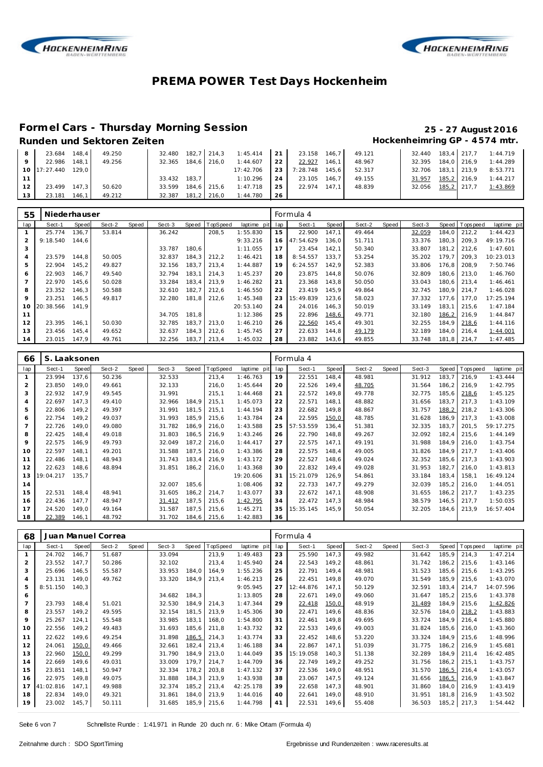



### **Formel Cars - Thursday Morning Session 25 - 27 August 2016**

### Runden und Sektoren Zeiten **Munden und Sektoren Zeiten Hockenheimring GP** - 4574 mtr.

|    | 23.684             | 148.4     | 49.250 | 32.480 |       | 182.7 214.3 | 1:45.414  | $\sqrt{21}$ | 23.158   | 146.7 | 49.121 | 32.440 183.4 217.7 |             | 1:44.719 |
|----|--------------------|-----------|--------|--------|-------|-------------|-----------|-------------|----------|-------|--------|--------------------|-------------|----------|
|    | 22.986             | 148.1     | 49.256 | 32.365 |       | 184.6 216.0 | 1:44.607  | 22          | 22.927   | 146.1 | 48.967 | 32.395             | 184,0 216,9 | 1:44.289 |
|    | 10 17:27.440 129,0 |           |        |        |       |             | 17:42.706 | 23 I        | 7:28.748 | 145.6 | 52.317 | 32.706             | 183.1 213.9 | 8:53.771 |
|    |                    |           |        | 33.432 | 183.7 |             | 1:10.296  | 24          | 23.105   | 146.7 | 49.155 | 31.957             | 185,2 216,9 | 1:44.217 |
| 12 | 23.499             | $147.3$ J | 50.620 | 33.599 |       | 184.6 215.6 | 1:47.718  | 25          | 22.974   | 147.1 | 48.839 | 32.056             | 185,2 217,7 | 1:43.869 |
| 13 | 23.181             | 146.1     | 49.212 | 32.387 |       | 181.2 216.0 | 1:44.780  | 26          |          |       |        |                    |             |          |

| 55      | Niederhauser |       |        |       |        |       |             |             |                 | Formula 4 |       |        |       |        |       |                |             |
|---------|--------------|-------|--------|-------|--------|-------|-------------|-------------|-----------------|-----------|-------|--------|-------|--------|-------|----------------|-------------|
| lap     | Sect-1       | Speed | Sect-2 | Speed | Sect-3 | Speed | TopSpeed    | laptime pit | lap             | Sect-1    | Speed | Sect-2 | Speed | Sect-3 |       | Speed Topspeed | laptime pit |
|         | 25.774       | 136.7 | 53.814 |       | 36.242 |       | 208,5       | 1:55.830    | 15              | 22.900    | 147.1 | 49.464 |       | 32.059 | 184.0 | 212.2          | 1:44.423    |
| 2       | 9:18.540     | 144.6 |        |       |        |       |             | 9:33.216    | 16 <sup>1</sup> | 47:54.629 | 136.0 | 51.711 |       | 33.376 | 180.3 | 209.3          | 49:19.716   |
| 3       |              |       |        |       | 33.787 | 180.6 |             | 1:11.055    | 17              | 23.454    | 142.1 | 50.340 |       | 33.807 | 181.2 | 212.6          | 1:47.601    |
| 4       | 23.579       | 144.8 | 50.005 |       | 32.837 | 184,3 | 212,2       | 1:46.421    | 18              | 8:54.557  | 133.7 | 53.254 |       | 35.202 | 179.7 | 209.3          | 10:23.013   |
| 5       | 22.904       | 145.2 | 49.827 |       | 32.156 | 183.7 | 213.4       | 1:44.887    | 19              | 6:24.557  | 142.9 | 52.383 |       | 33.806 | 176.8 | 208.9          | 7:50.746    |
| 6       | 22.903       | 146.7 | 49.540 |       | 32.794 | 183.1 | 214.3       | 1:45.237    | 20              | 23.875    | 144.8 | 50.076 |       | 32.809 | 180.6 | 213.0          | 1:46.760    |
|         | 22.970       | 145,6 | 50.028 |       | 33.284 | 183.4 | 213.9       | 1:46.282    | 21              | 23.368    | 143,8 | 50.050 |       | 33.043 | 180.6 | 213.4          | 1:46.461    |
| 8       | 23.352       | 146.3 | 50.588 |       | 32.610 | 182.7 | 212.6       | 1:46.550    | 22              | 23.419    | 145.9 | 49.864 |       | 32.745 | 180.9 | 214.7          | 1:46.028    |
| 9       | 23.251       | 146.5 | 49.817 |       | 32.280 | 181.8 | 212.6       | 1:45.348    | 23              | 15:49.839 | 123.6 | 58.023 |       | 37.332 | 177.6 | 177.0          | 17:25.194   |
| $10-10$ | 20:38.566    | 141.9 |        |       |        |       |             | 20:53.140   | 24              | 24.016    | 146.3 | 50.019 |       | 33.149 | 183.1 | 215.6          | 1:47.184    |
| 11      |              |       |        |       | 34.705 | 181,8 |             | 1:12.386    | 25              | 22.896    | 148,6 | 49.771 |       | 32.180 | 186,2 | 216.9          | 1:44.847    |
| 12      | 23.395       | 146.1 | 50.030 |       | 32.785 | 183.7 | 213.0       | 1:46.210    | 26              | 22.560    | 145.4 | 49.301 |       | 32.255 | 184.9 | 218,6          | 1:44.116    |
| 13      | 23.456       | 145.4 | 49.652 |       | 32.637 | 184,3 | 212.6       | 1:45.745    | 27              | 22.633    | 144.8 | 49.179 |       | 32.189 | 184.0 | 216.4          | 1:44.001    |
| 14      | 23.015       | 147.9 | 49.761 |       | 32.256 |       | 183,7 213,4 | 1:45.032    | 28              | 23.882    | 143,6 | 49.855 |       | 33.748 | 181,8 | 214.7          | 1:47.485    |

| 66  | S. Laaksonen |       |        |       |        |       |             |             |     | Formula 4 |       |        |       |        |       |             |             |
|-----|--------------|-------|--------|-------|--------|-------|-------------|-------------|-----|-----------|-------|--------|-------|--------|-------|-------------|-------------|
| lap | Sect-1       | Speed | Sect-2 | Speed | Sect-3 | Speed | TopSpeed    | laptime pit | lap | Sect-1    | Speed | Sect-2 | Speed | Sect-3 | Speed | T ops pee d | laptime pit |
|     | 23.994       | 137.6 | 50.236 |       | 32.533 |       | 213,4       | 1:46.763    | 19  | 22.551    | 148,4 | 48.981 |       | 31.912 | 183.7 | 216.9       | 1:43.444    |
| 2   | 23.850       | 149.0 | 49.661 |       | 32.133 |       | 216.0       | 1:45.644    | 20  | 22.526    | 149,4 | 48.705 |       | 31.564 | 186.2 | 216.9       | 1:42.795    |
| 3   | 22.932       | 147,9 | 49.545 |       | 31.991 |       | 215,1       | 1:44.468    | 21  | 22.572    | 149,8 | 49.778 |       | 32.775 | 185,6 | 218,6       | 1:45.125    |
| 4   | 22.697       | 147,3 | 49.410 |       | 32.966 | 184,9 | 215,1       | 1:45.073    | 22  | 22.571    | 148,1 | 48.882 |       | 31.656 | 183,7 | 217.3       | 1:43.109    |
| 5   | 22.806       | 149.2 | 49.397 |       | 31.991 | 181.5 | 215,1       | 1:44.194    | 23  | 22.682    | 149.8 | 48.867 |       | 31.757 | 188,2 | 218.2       | 1:43.306    |
| 6   | 22.754       | 149,2 | 49.037 |       | 31.993 | 185,9 | 215,6       | 1:43.784    | 24  | 22.595    | 150,0 | 48.785 |       | 31.628 | 186,9 | 217,3       | 1:43.008    |
| 7   | 22.726       | 149,0 | 49.080 |       | 31.782 | 186,9 | 216,0       | 1:43.588    | 25  | 57:53.559 | 136,4 | 51.381 |       | 32.335 | 183.7 | 201,5       | 59:17.275   |
| 8   | 22.425       | 148.4 | 49.018 |       | 31.803 | 186,5 | 216,9       | 1:43.246    | 26  | 22.790    | 148,8 | 49.267 |       | 32.092 | 182,4 | 215.6       | 1:44.149    |
| 9   | 22.575       | 146,9 | 49.793 |       | 32.049 | 187,2 | 216,0       | 1:44.417    | 27  | 22.575    | 147,1 | 49.191 |       | 31.988 | 184,9 | 216,0       | 1:43.754    |
| 10  | 22.597       | 148.1 | 49.201 |       | 31.588 | 187,5 | 216.0       | 1:43.386    | 28  | 22.575    | 148,4 | 49.005 |       | 31.826 | 184.9 | 217.7       | 1:43.406    |
| 11  | 22.486       | 148.1 | 48.943 |       | 31.743 | 183,4 | 216,9       | 1:43.172    | 29  | 22.527    | 148,6 | 49.024 |       | 32.352 | 185,6 | 217.3       | 1:43.903    |
| 12  | 22.623       | 148,6 | 48.894 |       | 31.851 | 186,2 | 216,0       | 1:43.368    | 30  | 22.832    | 149,4 | 49.028 |       | 31.953 | 182,7 | 216.0       | 1:43.813    |
| 13  | 19:04.217    | 135,7 |        |       |        |       |             | 19:20.606   | 31  | 15:21.079 | 126,9 | 54.861 |       | 33.184 | 183.4 | 158,1       | 16:49.124   |
| 14  |              |       |        |       | 32.007 | 185,6 |             | 1:08.406    | 32  | 22.733    | 147.7 | 49.279 |       | 32.039 | 185.2 | 216.0       | 1:44.051    |
| 15  | 22.531       | 148.4 | 48.941 |       | 31.605 | 186,2 | 214,7       | 1:43.077    | 33  | 22.672    | 147,1 | 48.908 |       | 31.655 | 186,2 | 217.7       | 1:43.235    |
| 16  | 22.436       | 147.7 | 48.947 |       | 31.412 | 187,5 | 215,6       | 1:42.795    | 34  | 22.472    | 147.3 | 48.984 |       | 38.579 | 146,5 | 217.7       | 1:50.035    |
| 17  | 24.520       | 149,0 | 49.164 |       | 31.587 | 187,5 | 215,6       | 1:45.271    | 35  | 15:35.145 | 145.9 | 50.054 |       | 32.205 | 184,6 | 213,9       | 16:57.404   |
| 18  | 22.389       | 146,1 | 48.792 |       | 31.702 |       | 184,6 215,6 | 1:42.883    | 36  |           |       |        |       |        |       |             |             |

| 68             |           |       | Juan Manuel Correa |       |        |       |          |             |     | Formula 4 |       |        |       |        |        |             |             |
|----------------|-----------|-------|--------------------|-------|--------|-------|----------|-------------|-----|-----------|-------|--------|-------|--------|--------|-------------|-------------|
| lap            | Sect-1    | Speed | Sect-2             | Speed | Sect-3 | Speed | TopSpeed | laptime pit | lap | Sect-1    | Speed | Sect-2 | Speed | Sect-3 | Speed  | T ops pee d | laptime pit |
| 1              | 24.702    | 146.7 | 51.687             |       | 33.094 |       | 213,9    | 1:49.483    | 23  | 25.590    | 147,3 | 49.982 |       | 31.642 | 185,9  | 214.3       | 1:47.214    |
| $\overline{2}$ | 23.552    | 147.7 | 50.286             |       | 32.102 |       | 213,4    | 1:45.940    | 24  | 22.543    | 149,2 | 48.861 |       | 31.742 | 186,2  | 215,6       | 1:43.146    |
| 3              | 25.696    | 146,5 | 55.587             |       | 33.953 | 184,0 | 164,9    | 1:55.236    | 25  | 22.791    | 149,4 | 48.981 |       | 31.523 | 185,6  | 215,6       | 1:43.295    |
| 4              | 23.131    | 149,0 | 49.762             |       | 33.320 | 184,9 | 213,4    | 1:46.213    | 26  | 22.451    | 149,8 | 49.070 |       | 31.549 | 185,9  | 215,6       | 1:43.070    |
| 5              | 8:51.150  | 140,3 |                    |       |        |       |          | 9:05.945    | 27  | 12:44.876 | 147,1 | 50.129 |       | 32.591 | 183,4  | 214.7       | 14:07.596   |
| 6              |           |       |                    |       | 34.682 | 184,3 |          | 1:13.805    | 28  | 22.671    | 149,0 | 49.060 |       | 31.647 | 185,2  | 215,6       | 1:43.378    |
| $\overline{7}$ | 23.793    | 148.4 | 51.021             |       | 32.530 | 184.9 | 214,3    | 1:47.344    | 29  | 22.418    | 150,0 | 48.919 |       | 31.489 | 184.9  | 215,6       | 1:42.826    |
| 8              | 23.557    | 149,2 | 49.595             |       | 32.154 | 181,5 | 213,9    | 1:45.306    | 30  | 22.471    | 149.6 | 48.836 |       | 32.576 | 184,0  | 218,2       | 1:43.883    |
| 9              | 25.267    | 124,1 | 55.548             |       | 33.985 | 183,1 | 168,0    | 1:54.800    | 31  | 22.461    | 149,8 | 49.695 |       | 33.724 | 184,9  | 216,4       | 1:45.880    |
| 10             | 22.556    | 149,2 | 49.483             |       | 31.693 | 185,6 | 211,8    | 1:43.732    | 32  | 22.533    | 149,6 | 49.003 |       | 31.824 | 185,6  | 216.0       | 1:43.360    |
| 11             | 22.622    | 149.6 | 49.254             |       | 31.898 | 186,5 | 214,3    | 1:43.774    | 33  | 22.452    | 148,6 | 53.220 |       | 33.324 | 184.9  | 215,6       | 1:48.996    |
| 12             | 24.061    | 150,0 | 49.466             |       | 32.661 | 182,4 | 213,4    | 1:46.188    | 34  | 22.867    | 147,1 | 51.039 |       | 31.775 | 186,2  | 216,9       | 1:45.681    |
| 13             | 22.960    | 150,0 | 49.299             |       | 31.790 | 184,9 | 213,0    | 1:44.049    | 35  | 15:19.058 | 140,3 | 51.138 |       | 32.289 | 184,9  | 211.4       | 16:42.485   |
| 14             | 22.669    | 149,6 | 49.031             |       | 33.009 | 179,7 | 214.7    | 1:44.709    | 36  | 22.749    | 149,2 | 49.252 |       | 31.756 | 186,2  | 215,1       | 1:43.757    |
| 15             | 23.851    | 148.1 | 50.947             |       | 32.334 | 178,2 | 203,8    | 1:47.132    | 37  | 22.536    | 149.0 | 48.951 |       | 31.570 | 186,5  | 216,4       | 1:43.057    |
| 16             | 22.975    | 149.8 | 49.075             |       | 31.888 | 184,3 | 213,9    | 1:43.938    | 38  | 23.067    | 147,5 | 49.124 |       | 31.656 | 186, 5 | 216,9       | 1:43.847    |
| 17             | 41:02.816 | 147.1 | 49.988             |       | 32.374 | 185,2 | 213,4    | 42:25.178   | 39  | 22.658    | 147,3 | 48.901 |       | 31.860 | 184.0  | 216.9       | 1:43.419    |
| 18             | 22.834    | 149,0 | 49.321             |       | 31.861 | 184,0 | 213,9    | 1:44.016    | 40  | 22.641    | 149,0 | 48.910 |       | 31.951 | 181,8  | 216,9       | 1:43.502    |
| 19             | 23.002    | 145,7 | 50.111             |       | 31.685 | 185,9 | 215,6    | 1:44.798    | 41  | 22.531    | 149,6 | 55.408 |       | 36.503 | 185,2  | 217,3       | 1:54.442    |